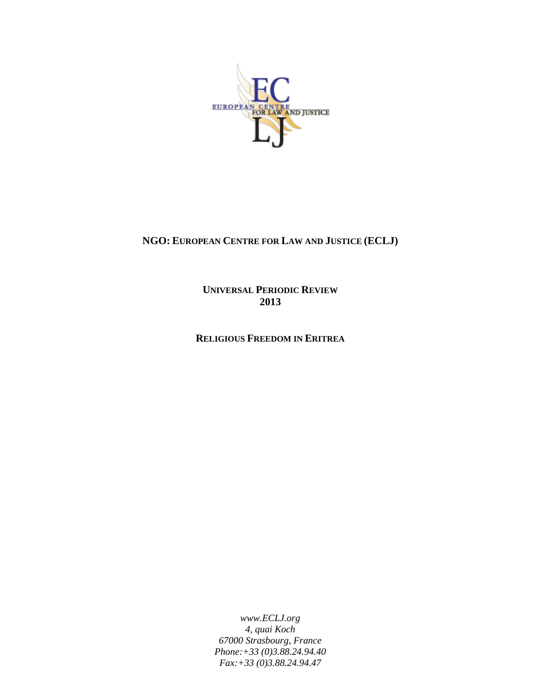

# **NGO: EUROPEAN CENTRE FOR LAW AND JUSTICE (ECLJ)**

**UNIVERSAL PERIODIC REVIEW 2013**

**RELIGIOUS FREEDOM IN ERITREA**

*www.ECLJ.org 4, quai Koch 67000 Strasbourg, France Phone:+33 (0)3.88.24.94.40 Fax:+33 (0)3.88.24.94.47*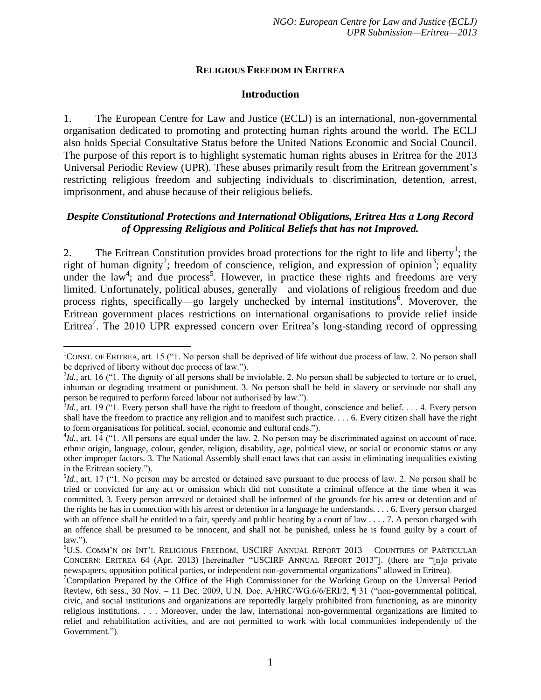### **RELIGIOUS FREEDOM IN ERITREA**

#### <span id="page-1-0"></span>**Introduction**

1. The European Centre for Law and Justice (ECLJ) is an international, non-governmental organisation dedicated to promoting and protecting human rights around the world. The ECLJ also holds Special Consultative Status before the United Nations Economic and Social Council. The purpose of this report is to highlight systematic human rights abuses in Eritrea for the 2013 Universal Periodic Review (UPR). These abuses primarily result from the Eritrean government's restricting religious freedom and subjecting individuals to discrimination, detention, arrest, imprisonment, and abuse because of their religious beliefs.

### *Despite Constitutional Protections and International Obligations, Eritrea Has a Long Record of Oppressing Religious and Political Beliefs that has not Improved.*

<span id="page-1-1"></span>2. The Eritrean Constitution provides broad protections for the right to life and liberty<sup>1</sup>; the right of human dignity<sup>2</sup>; freedom of conscience, religion, and expression of opinion<sup>3</sup>; equality under the law<sup>4</sup>; and due process<sup>5</sup>. However, in practice these rights and freedoms are very limited. Unfortunately, political abuses, generally—and violations of religious freedom and due process rights, specifically—go largely unchecked by internal institutions<sup>6</sup>. Moverover, the Eritrean government places restrictions on international organisations to provide relief inside Eritrea<sup>7</sup>. The 2010 UPR expressed concern over Eritrea's long-standing record of oppressing

 $\overline{a}$  $1$ CONST. OF ERITREA, art. 15 ("1. No person shall be deprived of life without due process of law. 2. No person shall be deprived of liberty without due process of law.").

 $^{2}Id$ , art. 16 ("1. The dignity of all persons shall be inviolable. 2. No person shall be subjected to torture or to cruel, inhuman or degrading treatment or punishment. 3. No person shall be held in slavery or servitude nor shall any

person be required to perform forced labour not authorised by law.").<br><sup>3</sup>Id., art. 19 ("1. Every person shall have the right to freedom of thought, conscience and belief.... 4. Every person shall have the freedom to practice any religion and to manifest such practice. . . . 6. Every citizen shall have the right to form organisations for political, social, economic and cultural ends.").

 $^{4}$ Id., art. 14 ("1. All persons are equal under the law. 2. No person may be discriminated against on account of race, ethnic origin, language, colour, gender, religion, disability, age, political view, or social or economic status or any other improper factors. 3. The National Assembly shall enact laws that can assist in eliminating inequalities existing in the Eritrean society.").

<sup>5</sup> *Id.*, art. 17 ("1. No person may be arrested or detained save pursuant to due process of law. 2. No person shall be tried or convicted for any act or omission which did not constitute a criminal offence at the time when it was committed. 3. Every person arrested or detained shall be informed of the grounds for his arrest or detention and of the rights he has in connection with his arrest or detention in a language he understands. . . . 6. Every person charged with an offence shall be entitled to a fair, speedy and public hearing by a court of law . . . . 7. A person charged with an offence shall be presumed to be innocent, and shall not be punished, unless he is found guilty by a court of law.").

<sup>6</sup>U.S. COMM'N ON INT'L RELIGIOUS FREEDOM, USCIRF ANNUAL REPORT 2013 – COUNTRIES OF PARTICULAR CONCERN: ERITREA 64 (Apr. 2013) [hereinafter "USCIRF ANNUAL REPORT 2013"]. (there are "[n]o private newspapers, opposition political parties, or independent non-governmental organizations" allowed in Eritrea).

<sup>7</sup>Compilation Prepared by the Office of the High Commissioner for the Working Group on the Universal Period Review, 6th sess., 30 Nov. – 11 Dec. 2009, U.N. Doc. A/HRC/WG.6/6/ERI/2, ¶ 31 ("non-governmental political, civic, and social institutions and organizations are reportedly largely prohibited from functioning, as are minority religious institutions. . . . Moreover, under the law, international non-governmental organizations are limited to relief and rehabilitation activities, and are not permitted to work with local communities independently of the Government.").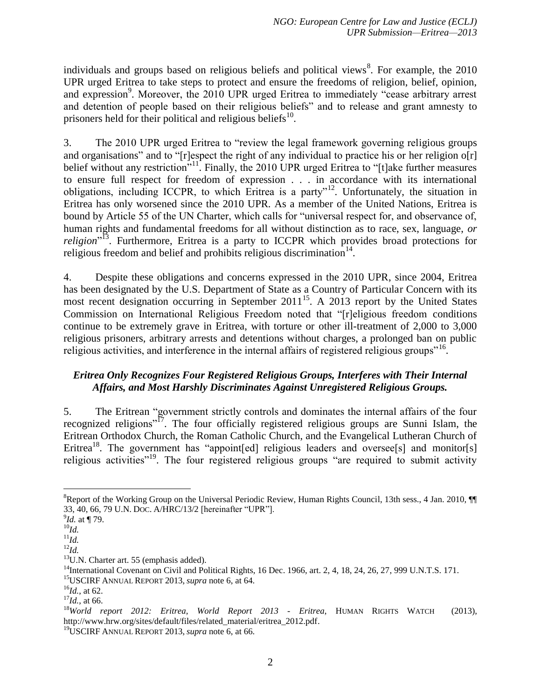<span id="page-2-1"></span>individuals and groups based on religious beliefs and political views $\delta$ . For example, the 2010 UPR urged Eritrea to take steps to protect and ensure the freedoms of religion, belief, opinion, and expression<sup>9</sup>. Moreover, the 2010 UPR urged Eritrea to immediately "cease arbitrary arrest and detention of people based on their religious beliefs" and to release and grant amnesty to prisoners held for their political and religious beliefs<sup>10</sup>.

3. The 2010 UPR urged Eritrea to "review the legal framework governing religious groups and organisations" and to "[r]espect the right of any individual to practice his or her religion o[r] belief without any restriction<sup>"11</sup>. Finally, the 2010 UPR urged Eritrea to "[t]ake further measures to ensure full respect for freedom of expression . . . in accordance with its international obligations, including ICCPR, to which Eritrea is a party"<sup>12</sup>. Unfortunately, the situation in Eritrea has only worsened since the 2010 UPR. As a member of the United Nations, Eritrea is bound by Article 55 of the UN Charter, which calls for "universal respect for, and observance of, human rights and fundamental freedoms for all without distinction as to race, sex, language, *or*  religion<sup>"13</sup>. Furthermore, Eritrea is a party to ICCPR which provides broad protections for religious freedom and belief and prohibits religious discrimination $14$ .

4. Despite these obligations and concerns expressed in the 2010 UPR, since 2004, Eritrea has been designated by the U.S. Department of State as a Country of Particular Concern with its most recent designation occurring in September 2011<sup>15</sup>. A 2013 report by the United States Commission on International Religious Freedom noted that "[r]eligious freedom conditions continue to be extremely grave in Eritrea, with torture or other ill-treatment of 2,000 to 3,000 religious prisoners, arbitrary arrests and detentions without charges, a prolonged ban on public religious activities, and interference in the internal affairs of registered religious groups"<sup>16</sup>.

# *Eritrea Only Recognizes Four Registered Religious Groups, Interferes with Their Internal Affairs, and Most Harshly Discriminates Against Unregistered Religious Groups.*

<span id="page-2-0"></span>5. The Eritrean "government strictly controls and dominates the internal affairs of the four recognized religions"<sup>17</sup>. The four officially registered religious groups are Sunni Islam, the Eritrean Orthodox Church, the Roman Catholic Church, and the Evangelical Lutheran Church of Eritrea<sup>18</sup>. The government has "appoint[ed] religious leaders and oversee[s] and monitor[s] religious activities"<sup>19</sup>. The four registered religious groups "are required to submit activity

 $\overline{a}$ 

 $8R$ eport of the Working Group on the Universal Periodic Review, Human Rights Council, 13th sess., 4 Jan. 2010,  $\P$ 33, 40, 66, 79 U.N. DOC. A/HRC/13/2 [hereinafter "UPR"].

<sup>9</sup> *Id.* at ¶ 79.

<sup>10</sup>*Id.* 

 $\overline{^{11}}\overline{Id}$ .

 $^{12}$ *Id.* 

<sup>&</sup>lt;sup>13</sup>U.N. Charter art. 55 (emphasis added).

<sup>&</sup>lt;sup>14</sup>International Covenant on Civil and Political Rights, 16 Dec. 1966, art. 2, 4, 18, 24, 26, 27, 999 U.N.T.S. 171.

<sup>15</sup>USCIRF ANNUAL REPORT 2013, *supra* note 6, at 64.

 $^{16}$ *Id.*, at 62.

<sup>17</sup>*Id.*, at 66.

<sup>18</sup>*World report 2012: Eritrea*, *World Report 2013 - Eritrea*, HUMAN RIGHTS WATCH (2013), http://www.hrw.org/sites/default/files/related\_material/eritrea\_2012.pdf.

<sup>19</sup>USCIRF ANNUAL REPORT 2013, *supra* note 6, at 66.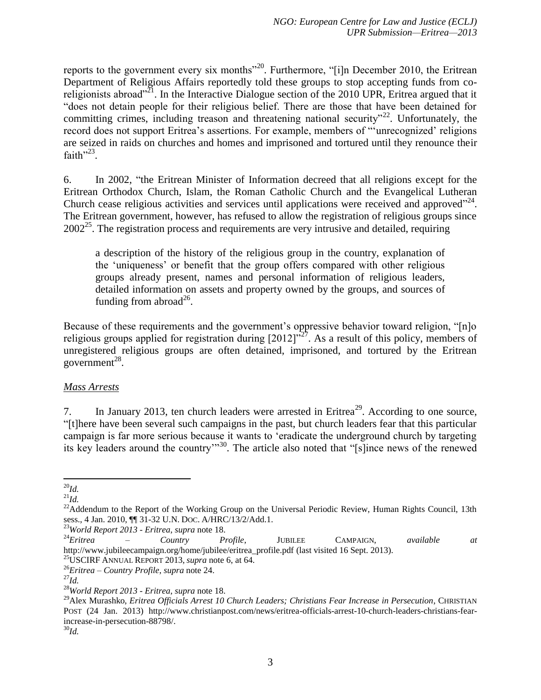reports to the government every six months<sup> $20$ </sup>. Furthermore, "[i]n December 2010, the Eritrean Department of Religious Affairs reportedly told these groups to stop accepting funds from coreligionists abroad"<sup>21</sup>. In the Interactive Dialogue section of the 2010 UPR, Eritrea argued that it "does not detain people for their religious belief. There are those that have been detained for committing crimes, including treason and threatening national security"<sup>22</sup>. Unfortunately, the record does not support Eritrea's assertions. For example, members of "'unrecognized' religions are seized in raids on churches and homes and imprisoned and tortured until they renounce their faith" $^{23}$ .

6. In 2002, "the Eritrean Minister of Information decreed that all religions except for the Eritrean Orthodox Church, Islam, the Roman Catholic Church and the Evangelical Lutheran Church cease religious activities and services until applications were received and approved $^{224}$ . The Eritrean government, however, has refused to allow the registration of religious groups since  $2002<sup>25</sup>$ . The registration process and requirements are very intrusive and detailed, requiring

<span id="page-3-0"></span>a description of the history of the religious group in the country, explanation of the 'uniqueness' or benefit that the group offers compared with other religious groups already present, names and personal information of religious leaders, detailed information on assets and property owned by the groups, and sources of funding from abroad $^{26}$ .

Because of these requirements and the government's oppressive behavior toward religion, "[n]o religious groups applied for registration during  $[2012]^{327}$ . As a result of this policy, members of unregistered religious groups are often detained, imprisoned, and tortured by the Eritrean government $^{28}$ .

# *Mass Arrests*

<span id="page-3-1"></span>7. In January 2013, ten church leaders were arrested in Eritrea<sup>29</sup>. According to one source, "[t]here have been several such campaigns in the past, but church leaders fear that this particular campaign is far more serious because it wants to 'eradicate the underground church by targeting its key leaders around the country"<sup>30</sup>. The article also noted that "[s]ince news of the renewed

 $\overline{a}$ <sup>20</sup>*Id.*

 $^{21}Id.$ 

<sup>&</sup>lt;sup>22</sup>Addendum to the Report of the Working Group on the Universal Periodic Review, Human Rights Council, 13th sess., 4 Jan. 2010, ¶¶ 31-32 U.N. DOC. A/HRC/13/2/Add.1.

<sup>23</sup>*World Report 2013 - Eritrea*, *supra* note [18.](#page-2-0)

<sup>24</sup>*Eritrea – Country Profile*, JUBILEE CAMPAIGN, *available at*  http://www.jubileecampaign.org/home/jubilee/eritrea\_profile.pdf (last visited 16 Sept. 2013).

<sup>25</sup>USCIRF ANNUAL REPORT 2013, *supra* note [6,](#page-1-0) at 64.

<sup>26</sup>*Eritrea – Country Profile*, *supra* note [24.](#page-3-0) 

<sup>27</sup>*Id.* 

<sup>28</sup>*World Report 2013 - Eritrea*, *supra* note [18.](#page-2-0)

<sup>29</sup>Alex Murashko, *Eritrea Officials Arrest 10 Church Leaders; Christians Fear Increase in Persecution*, CHRISTIAN POST (24 Jan. 2013) http://www.christianpost.com/news/eritrea-officials-arrest-10-church-leaders-christians-fearincrease-in-persecution-88798/.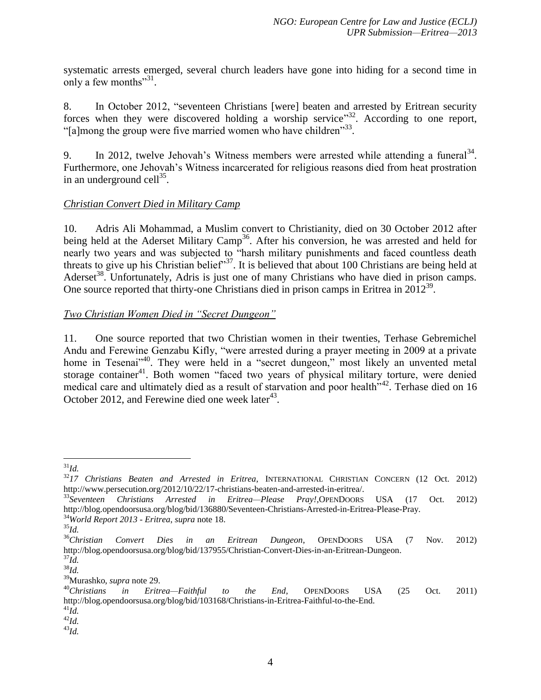systematic arrests emerged, several church leaders have gone into hiding for a second time in only a few months" $31$ .

8. In October 2012, "seventeen Christians [were] beaten and arrested by Eritrean security forces when they were discovered holding a worship service"<sup>32</sup>. According to one report, "[a]mong the group were five married women who have children"<sup>33</sup>.

9. In 2012, twelve Jehovah's Witness members were arrested while attending a funeral<sup>34</sup>. Furthermore, one Jehovah's Witness incarcerated for religious reasons died from heat prostration in an underground cell $^{35}$ .

# *Christian Convert Died in Military Camp*

10. Adris Ali Mohammad, a Muslim convert to Christianity, died on 30 October 2012 after being held at the Aderset Military Camp<sup>36</sup>. After his conversion, he was arrested and held for nearly two years and was subjected to "harsh military punishments and faced countless death threats to give up his Christian belief<sup>37</sup>. It is believed that about 100 Christians are being held at Aderset<sup>38</sup>. Unfortunately, Adris is just one of many Christians who have died in prison camps. One source reported that thirty-one Christians died in prison camps in Eritrea in  $2012^{39}$ .

# *Two Christian Women Died in "Secret Dungeon"*

<span id="page-4-0"></span>11. One source reported that two Christian women in their twenties, Terhase Gebremichel Andu and Ferewine Genzabu Kifly, "were arrested during a prayer meeting in 2009 at a private home in Tesenai<sup>140</sup>. They were held in a "secret dungeon," most likely an unvented metal storage container<sup>41</sup>. Both women "faced two years of physical military torture, were denied medical care and ultimately died as a result of starvation and poor health<sup>742</sup>. Terhase died on 16 October 2012, and Ferewine died one week later<sup>43</sup>.

 $\overline{a}$ <sup>31</sup>*Id.* 

<sup>32</sup>*17 Christians Beaten and Arrested in Eritrea*, INTERNATIONAL CHRISTIAN CONCERN (12 Oct. 2012) http://www.persecution.org/2012/10/22/17-christians-beaten-and-arrested-in-eritrea/.

<sup>33</sup>*Seventeen Christians Arrested in Eritrea—Please Pray!*,OPENDOORS USA (17 Oct. 2012) http://blog.opendoorsusa.org/blog/bid/136880/Seventeen-Christians-Arrested-in-Eritrea-Please-Pray. <sup>34</sup>*World Report 2013 - Eritrea*, *supra* note [18.](#page-2-0)

<sup>35</sup>*Id.*  <sup>36</sup>*Christian Convert Dies in an Eritrean Dungeon*, OPENDOORS USA (7 Nov. 2012) http://blog.opendoorsusa.org/blog/bid/137955/Christian-Convert-Dies-in-an-Eritrean-Dungeon.  $^{37}Id$ .

 $^{38}$ Id.

<sup>39</sup>Murashko, *supra* note [29.](#page-3-1)

<sup>40</sup>*Christians in Eritrea—Faithful to the End*, OPENDOORS USA (25 Oct. 2011) http://blog.opendoorsusa.org/blog/bid/103168/Christians-in-Eritrea-Faithful-to-the-End.  $^{41}Id.$ 

<sup>42</sup>*Id.* 

<sup>43</sup>*Id.*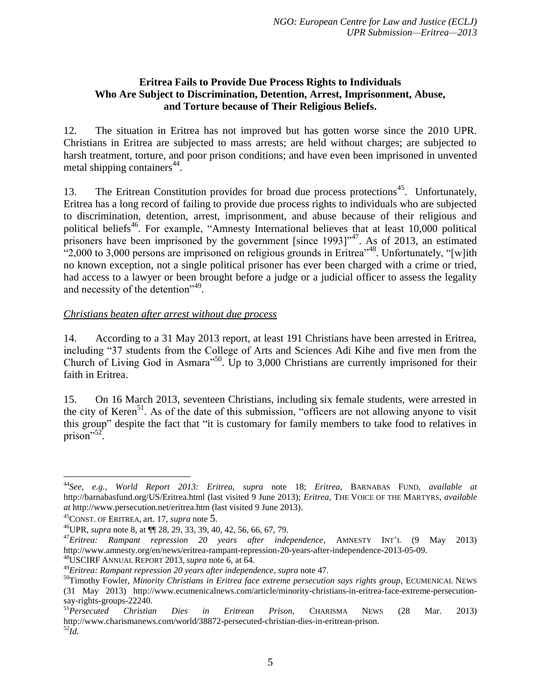#### **Eritrea Fails to Provide Due Process Rights to Individuals Who Are Subject to Discrimination, Detention, Arrest, Imprisonment, Abuse, and Torture because of Their Religious Beliefs.**

12. The situation in Eritrea has not improved but has gotten worse since the 2010 UPR. Christians in Eritrea are subjected to mass arrests; are held without charges; are subjected to harsh treatment, torture, and poor prison conditions; and have even been imprisoned in unvented metal shipping containers<sup>44</sup>.

<span id="page-5-0"></span>13. The Eritrean Constitution provides for broad due process protections<sup>45</sup>. Unfortunately, Eritrea has a long record of failing to provide due process rights to individuals who are subjected to discrimination, detention, arrest, imprisonment, and abuse because of their religious and political beliefs<sup>46</sup>. For example, "Amnesty International believes that at least 10,000 political prisoners have been imprisoned by the government [since  $1993$ ]<sup>"47</sup>. As of 2013, an estimated "2,000 to 3,000 persons are imprisoned on religious grounds in Eritrea"<sup>48</sup>. Unfortunately, "[w]ith no known exception, not a single political prisoner has ever been charged with a crime or tried, had access to a lawyer or been brought before a judge or a judicial officer to assess the legality and necessity of the detention"<sup>49</sup>.

#### *Christians beaten after arrest without due process*

14. According to a 31 May 2013 report, at least 191 Christians have been arrested in Eritrea, including "37 students from the College of Arts and Sciences Adi Kihe and five men from the Church of Living God in Asmara<sup> $50$ </sup>. Up to 3,000 Christians are currently imprisoned for their faith in Eritrea.

15. On 16 March 2013, seventeen Christians, including six female students, were arrested in the city of Keren<sup>51</sup>. As of the date of this submission, "officers are not allowing anyone to visit this group" despite the fact that "it is customary for family members to take food to relatives in  $prison$ <sup>52</sup>.

 $\overline{a}$ 

<sup>44</sup>*See, e.g.*, *World Report 2013: Eritrea*, *supra* note [18;](#page-2-0) *Eritrea*, BARNABAS FUND, *available at* http://barnabasfund.org/US/Eritrea.html (last visited 9 June 2013); *Eritrea*, THE VOICE OF THE MARTYRS, *available at* http://www.persecution.net/eritrea.htm (last visited 9 June 2013).

<sup>45</sup>CONST. OF ERITREA, art. 17, *supra* note [5](#page-1-1).

<sup>46</sup>UPR, *supra* note [8,](#page-2-1) at ¶¶ 28, 29, 33, 39, 40, 42, 56, 66, 67, 79.

<sup>47</sup>*Eritrea: Rampant repression 20 years after independence*, AMNESTY INT'<sup>L</sup> (9 May 2013) http://www.amnesty.org/en/news/eritrea-rampant-repression-20-years-after-independence-2013-05-09. <sup>48</sup>USCIRF ANNUAL REPORT 2013, *supra* note [6,](#page-1-0) at 64.

<sup>49</sup>*Eritrea: Rampant repression 20 years after independence*, *supra* not[e 47.](#page-5-0)

<sup>50</sup>Timothy Fowler, *Minority Christians in Eritrea face extreme persecution says rights group*, ECUMENICAL NEWS (31 May 2013) http://www.ecumenicalnews.com/article/minority-christians-in-eritrea-face-extreme-persecutionsay-rights-groups-22240.

<sup>51</sup>*Persecuted Christian Dies in Eritrean Prison*, CHARISMA NEWS (28 Mar. 2013) http://www.charismanews.com/world/38872-persecuted-christian-dies-in-eritrean-prison. <sup>52</sup>*Id.*